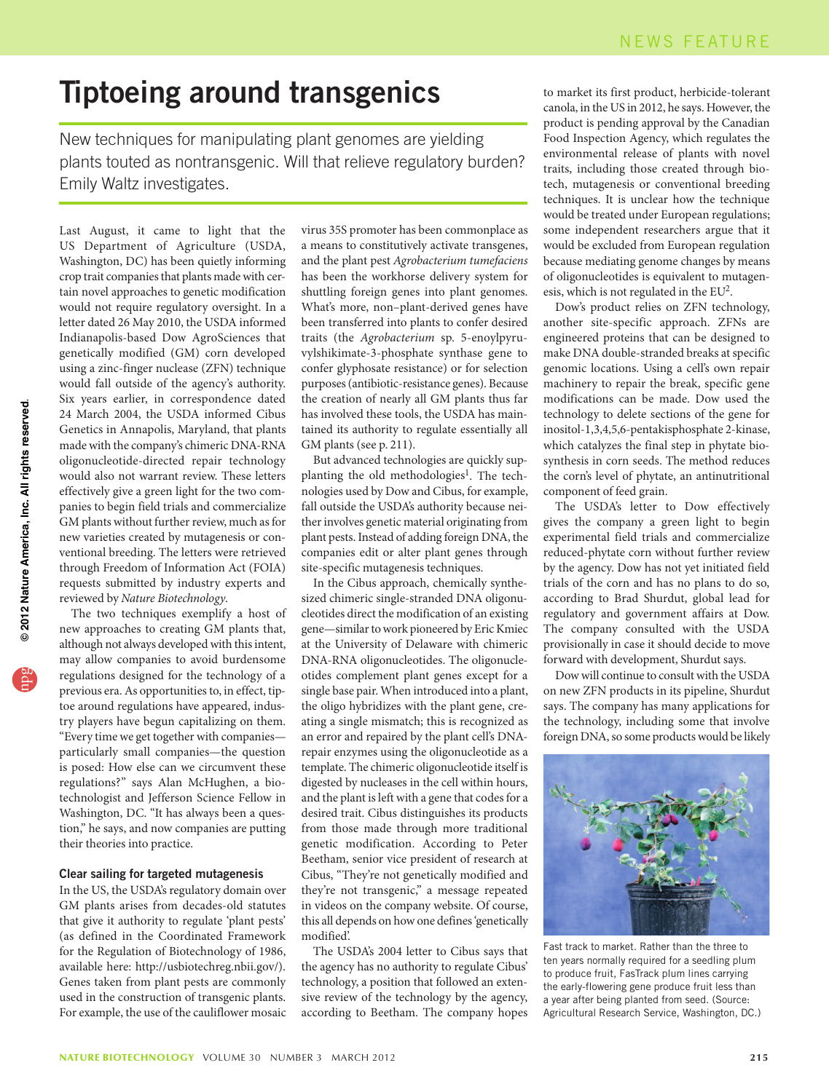# Tiptoeing around transgenics

New techniques for manipulating plant genomes are yielding plants touted as nontransgenic. Will that relieve regulatory burden? Emily Waltz investigates.

Last August, it came to light that the US Department of Agriculture (USDA, Washington, DC) has been quietly informing crop trait companies that plants made with certain novel approaches to genetic modification would not require regulatory oversight. In a letter dated 26 May 2010, the USDA informed Indianapolis-based Dow AgroSciences that genetically modified (GM) corn developed using a zinc-finger nuclease (ZFN) technique would fall outside of the agency's authority. Six years earlier, in correspondence dated 24 March 2004, the USDA informed Cibus Genetics in Annapolis, Maryland, that plants made with the company's chimeric DNA-RNA oligonucleotide-directed repair technology would also not warrant review. These letters effectively give a green light for the two companies to begin field trials and commercialize GM plants without further review, much as for new varieties created by mutagenesis or conventional breeding. The letters were retrieved through Freedom of Information Act (FOIA) requests submitted by industry experts and reviewed by Nature Biotechnology.

The two techniques exemplify a host of new approaches to creating GM plants that, although not always developed with this intent, may allow companies to avoid burdensome regulations designed for the technology of a previous era. As opportunities to, in effect, tiptoe around regulations have appeared, industry players have begun capitalizing on them. "Every time we get together with companies particularly small companies—the question is posed: How else can we circumvent these regulations?" says Alan McHughen, a biotechnologist and Jefferson Science Fellow in Washington, DC. "It has always been a question," he says, and now companies are putting their theories into practice.

# Clear sailing for targeted mutagenesis

In the US, the USDA's regulatory domain over GM plants arises from decades-old statutes that give it authority to regulate 'plant pests' (as defined in the Coordinated Framework for the Regulation of Biotechnology of 1986, available here: <http://usbiotechreg.nbii.gov/>). Genes taken from plant pests are commonly used in the construction of transgenic plants. For example, the use of the cauliflower mosaic

virus 35S promoter has been commonplace as a means to constitutively activate transgenes, and the plant pest Agrobacterium tumefaciens has been the workhorse delivery system for shuttling foreign genes into plant genomes. What's more, non–plant-derived genes have been transferred into plants to confer desired traits (the Agrobacterium sp. 5-enoylpyruvylshikimate-3-phosphate synthase gene to confer glyphosate resistance) or for selection purposes (antibiotic-resistance genes). Because the creation of nearly all GM plants thus far has involved these tools, the USDA has maintained its authority to regulate essentially all GM plants (see p. 211).

But advanced technologies are quickly supplanting the old methodologies<sup>1</sup>. The technologies used by Dow and Cibus, for example, fall outside the USDA's authority because neither involves genetic material originating from plant pests. Instead of adding foreign DNA, the companies edit or alter plant genes through site-specific mutagenesis techniques.

In the Cibus approach, chemically synthesized chimeric single-stranded DNA oligonucleotides direct the modification of an existing gene—similar to work pioneered by Eric Kmiec at the University of Delaware with chimeric DNA-RNA oligonucleotides. The oligonucleotides complement plant genes except for a single base pair. When introduced into a plant, the oligo hybridizes with the plant gene, creating a single mismatch; this is recognized as an error and repaired by the plant cell's DNArepair enzymes using the oligonucleotide as a template. The chimeric oligonucleotide itself is digested by nucleases in the cell within hours, and the plant is left with a gene that codes for a desired trait. Cibus distinguishes its products from those made through more traditional genetic modification. According to Peter Beetham, senior vice president of research at Cibus, "They're not genetically modified and they're not transgenic," a message repeated in videos on the company website. Of course, this all depends on how one defines 'genetically modified'.

The USDA's 2004 letter to Cibus says that the agency has no authority to regulate Cibus' technology, a position that followed an extensive review of the technology by the agency, according to Beetham. The company hopes

to market its first product, herbicide-tolerant canola, in the US in 2012, he says. However, the product is pending approval by the Canadian Food Inspection Agency, which regulates the environmental release of plants with novel traits, including those created through biotech, mutagenesis or conventional breeding techniques. It is unclear how the technique would be treated under European regulations; some independent researchers argue that it would be excluded from European regulation because mediating genome changes by means of oligonucleotides is equivalent to mutagenesis, which is not regulated in the EU2.

Dow's product relies on ZFN technology, another site-specific approach. ZFNs are engineered proteins that can be designed to make DNA double-stranded breaks at specific genomic locations. Using a cell's own repair machinery to repair the break, specific gene modifications can be made. Dow used the technology to delete sections of the gene for inositol-1,3,4,5,6-pentakisphosphate 2-kinase, which catalyzes the final step in phytate biosynthesis in corn seeds. The method reduces the corn's level of phytate, an antinutritional component of feed grain.

The USDA's letter to Dow effectively gives the company a green light to begin experimental field trials and commercialize reduced-phytate corn without further review by the agency. Dow has not yet initiated field trials of the corn and has no plans to do so, according to Brad Shurdut, global lead for regulatory and government affairs at Dow. The company consulted with the USDA provisionally in case it should decide to move forward with development, Shurdut says.

Dow will continue to consult with the USDA on new ZFN products in its pipeline, Shurdut says. The company has many applications for the technology, including some that involve foreign DNA, so some products would be likely



Fast track to market. Rather than the three to ten years normally required for a seedling plum to produce fruit, FasTrack plum lines carrying the early-flowering gene produce fruit less than a year after being planted from seed. (Source: Agricultural Research Service, Washington, DC.)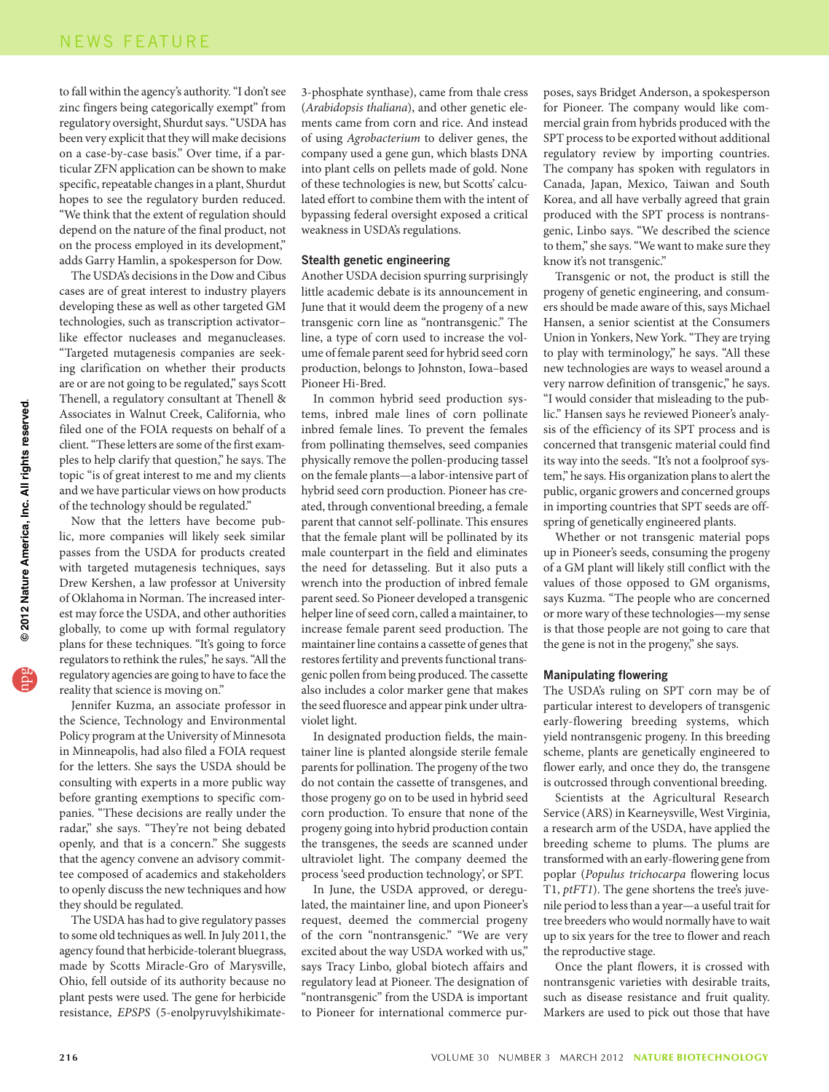to fall within the agency's authority. "I don't see zinc fingers being categorically exempt" from regulatory oversight, Shurdut says. "USDA has been very explicit that they will make decisions on a case-by-case basis." Over time, if a particular ZFN application can be shown to make specific, repeatable changes in a plant, Shurdut hopes to see the regulatory burden reduced. "We think that the extent of regulation should depend on the nature of the final product, not on the process employed in its development," adds Garry Hamlin, a spokesperson for Dow.

The USDA's decisions in the Dow and Cibus cases are of great interest to industry players developing these as well as other targeted GM technologies, such as transcription activator– like effector nucleases and meganucleases. "Targeted mutagenesis companies are seeking clarification on whether their products are or are not going to be regulated," says Scott Thenell, a regulatory consultant at Thenell & Associates in Walnut Creek, California, who filed one of the FOIA requests on behalf of a client. "These letters are some of the first examples to help clarify that question," he says. The topic "is of great interest to me and my clients and we have particular views on how products of the technology should be regulated."

Now that the letters have become public, more companies will likely seek similar passes from the USDA for products created with targeted mutagenesis techniques, says Drew Kershen, a law professor at University of Oklahoma in Norman. The increased interest may force the USDA, and other authorities globally, to come up with formal regulatory plans for these techniques. "It's going to force regulators to rethink the rules," he says. "All the regulatory agencies are going to have to face the reality that science is moving on."

Jennifer Kuzma, an associate professor in the Science, Technology and Environmental Policy program at the University of Minnesota in Minneapolis, had also filed a FOIA request for the letters. She says the USDA should be consulting with experts in a more public way before granting exemptions to specific companies. "These decisions are really under the radar," she says. "They're not being debated openly, and that is a concern." She suggests that the agency convene an advisory committee composed of academics and stakeholders to openly discuss the new techniques and how they should be regulated.

The USDA has had to give regulatory passes to some old techniques as well. In July 2011, the agency found that herbicide-tolerant bluegrass, made by Scotts Miracle-Gro of Marysville, Ohio, fell outside of its authority because no plant pests were used. The gene for herbicide resistance, EPSPS (5-enolpyruvylshikimate-

3-phosphate synthase), came from thale cress (Arabidopsis thaliana), and other genetic elements came from corn and rice. And instead of using Agrobacterium to deliver genes, the company used a gene gun, which blasts DNA into plant cells on pellets made of gold. None of these technologies is new, but Scotts' calculated effort to combine them with the intent of bypassing federal oversight exposed a critical weakness in USDA's regulations.

## Stealth genetic engineering

Another USDA decision spurring surprisingly little academic debate is its announcement in June that it would deem the progeny of a new transgenic corn line as "nontransgenic." The line, a type of corn used to increase the volume of female parent seed for hybrid seed corn production, belongs to Johnston, Iowa–based Pioneer Hi-Bred.

In common hybrid seed production systems, inbred male lines of corn pollinate inbred female lines. To prevent the females from pollinating themselves, seed companies physically remove the pollen-producing tassel on the female plants—a labor-intensive part of hybrid seed corn production. Pioneer has created, through conventional breeding, a female parent that cannot self-pollinate. This ensures that the female plant will be pollinated by its male counterpart in the field and eliminates the need for detasseling. But it also puts a wrench into the production of inbred female parent seed. So Pioneer developed a transgenic helper line of seed corn, called a maintainer, to increase female parent seed production. The maintainer line contains a cassette of genes that restores fertility and prevents functional transgenic pollen from being produced. The cassette also includes a color marker gene that makes the seed fluoresce and appear pink under ultraviolet light.

In designated production fields, the maintainer line is planted alongside sterile female parents for pollination. The progeny of the two do not contain the cassette of transgenes, and those progeny go on to be used in hybrid seed corn production. To ensure that none of the progeny going into hybrid production contain the transgenes, the seeds are scanned under ultraviolet light. The company deemed the process 'seed production technology', or SPT.

In June, the USDA approved, or deregulated, the maintainer line, and upon Pioneer's request, deemed the commercial progeny of the corn "nontransgenic." "We are very excited about the way USDA worked with us," says Tracy Linbo, global biotech affairs and regulatory lead at Pioneer. The designation of "nontransgenic" from the USDA is important to Pioneer for international commerce purposes, says Bridget Anderson, a spokesperson for Pioneer. The company would like commercial grain from hybrids produced with the SPT process to be exported without additional regulatory review by importing countries. The company has spoken with regulators in Canada, Japan, Mexico, Taiwan and South Korea, and all have verbally agreed that grain produced with the SPT process is nontransgenic, Linbo says. "We described the science to them," she says. "We want to make sure they know it's not transgenic."

Transgenic or not, the product is still the progeny of genetic engineering, and consumers should be made aware of this, says Michael Hansen, a senior scientist at the Consumers Union in Yonkers, New York. "They are trying to play with terminology," he says. "All these new technologies are ways to weasel around a very narrow definition of transgenic," he says. "I would consider that misleading to the public." Hansen says he reviewed Pioneer's analysis of the efficiency of its SPT process and is concerned that transgenic material could find its way into the seeds. "It's not a foolproof system," he says. His organization plans to alert the public, organic growers and concerned groups in importing countries that SPT seeds are offspring of genetically engineered plants.

Whether or not transgenic material pops up in Pioneer's seeds, consuming the progeny of a GM plant will likely still conflict with the values of those opposed to GM organisms, says Kuzma. "The people who are concerned or more wary of these technologies—my sense is that those people are not going to care that the gene is not in the progeny," she says.

### Manipulating flowering

The USDA's ruling on SPT corn may be of particular interest to developers of transgenic early-flowering breeding systems, which yield nontransgenic progeny. In this breeding scheme, plants are genetically engineered to flower early, and once they do, the transgene is outcrossed through conventional breeding.

Scientists at the Agricultural Research Service (ARS) in Kearneysville, West Virginia, a research arm of the USDA, have applied the breeding scheme to plums. The plums are transformed with an early-flowering gene from poplar (Populus trichocarpa flowering locus T1, ptFT1). The gene shortens the tree's juvenile period to less than a year—a useful trait for tree breeders who would normally have to wait up to six years for the tree to flower and reach the reproductive stage.

Once the plant flowers, it is crossed with nontransgenic varieties with desirable traits, such as disease resistance and fruit quality. Markers are used to pick out those that have